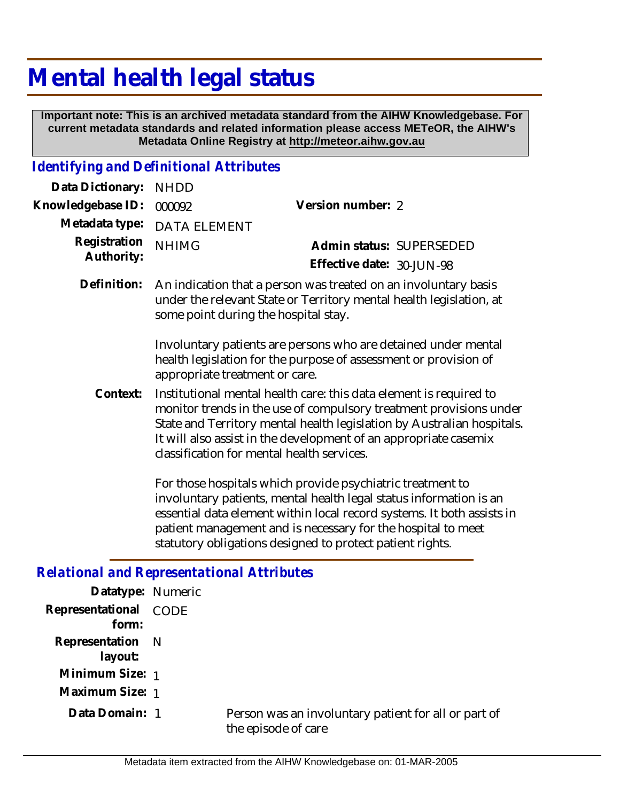## **Mental health legal status**

 **Important note: This is an archived metadata standard from the AIHW Knowledgebase. For current metadata standards and related information please access METeOR, the AIHW's Metadata Online Registry at http://meteor.aihw.gov.au**

## *Identifying and Definitional Attributes*

| Data Dictionary:                                    | <b>NHDD</b>                                                                                                                                                                                                                                                                                                                             |                                                                                                                                        |
|-----------------------------------------------------|-----------------------------------------------------------------------------------------------------------------------------------------------------------------------------------------------------------------------------------------------------------------------------------------------------------------------------------------|----------------------------------------------------------------------------------------------------------------------------------------|
| Knowledgebase ID:                                   | 000092                                                                                                                                                                                                                                                                                                                                  | Version number: 2                                                                                                                      |
| Metadata type:                                      | <b>DATA ELEMENT</b>                                                                                                                                                                                                                                                                                                                     |                                                                                                                                        |
| Registration<br>Authority:                          | <b>NHIMG</b>                                                                                                                                                                                                                                                                                                                            | Admin status: SUPERSEDED<br>Effective date: 30-JUN-98                                                                                  |
| Definition:<br>some point during the hospital stay. |                                                                                                                                                                                                                                                                                                                                         | An indication that a person was treated on an involuntary basis<br>under the relevant State or Territory mental health legislation, at |
|                                                     | Involuntary patients are persons who are detained under mental<br>health legislation for the purpose of assessment or provision of<br>appropriate treatment or care.                                                                                                                                                                    |                                                                                                                                        |
| Context:                                            | Institutional mental health care: this data element is required to<br>monitor trends in the use of compulsory treatment provisions under<br>State and Territory mental health legislation by Australian hospitals.<br>It will also assist in the development of an appropriate casemix<br>classification for mental health services.    |                                                                                                                                        |
|                                                     | For those hospitals which provide psychiatric treatment to<br>involuntary patients, mental health legal status information is an<br>essential data element within local record systems. It both assists in<br>patient management and is necessary for the hospital to meet<br>statutory obligations designed to protect patient rights. |                                                                                                                                        |
| <b>Relational and Representational Attributes</b>   |                                                                                                                                                                                                                                                                                                                                         |                                                                                                                                        |
| Datatype: Numeric                                   |                                                                                                                                                                                                                                                                                                                                         |                                                                                                                                        |
| Representational<br>form:                           | <b>CODE</b>                                                                                                                                                                                                                                                                                                                             |                                                                                                                                        |
| Representation<br>layout:                           | N                                                                                                                                                                                                                                                                                                                                       |                                                                                                                                        |
| Minimum Size: 1                                     |                                                                                                                                                                                                                                                                                                                                         |                                                                                                                                        |
| Maximum Size: 1                                     |                                                                                                                                                                                                                                                                                                                                         |                                                                                                                                        |

**Data Domain:**

Person was an involuntary patient for all or part of the episode of care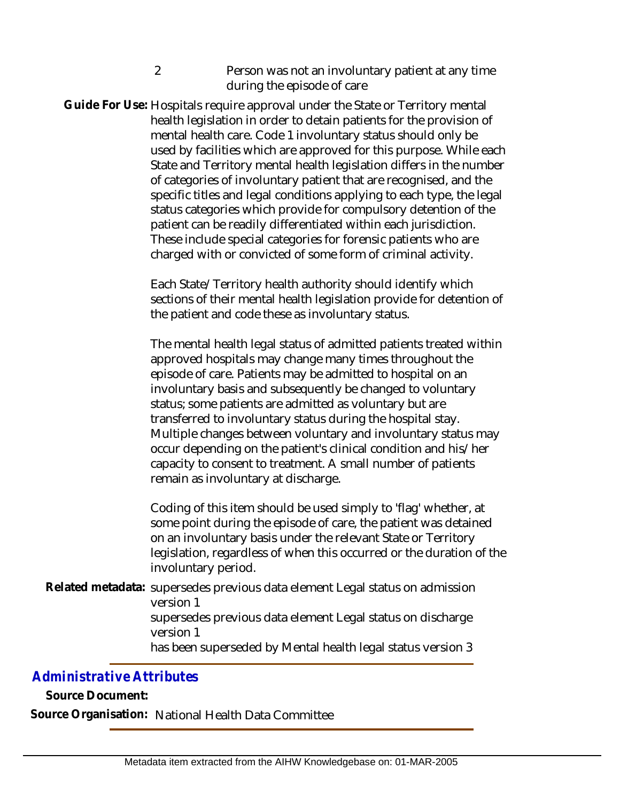2 Person was not an involuntary patient at any time during the episode of care

Guide For Use: Hospitals require approval under the State or Territory mental health legislation in order to detain patients for the provision of mental health care. Code 1 involuntary status should only be used by facilities which are approved for this purpose. While each State and Territory mental health legislation differs in the number of categories of involuntary patient that are recognised, and the specific titles and legal conditions applying to each type, the legal status categories which provide for compulsory detention of the patient can be readily differentiated within each jurisdiction. These include special categories for forensic patients who are charged with or convicted of some form of criminal activity.

> Each State/Territory health authority should identify which sections of their mental health legislation provide for detention of the patient and code these as involuntary status.

> The mental health legal status of admitted patients treated within approved hospitals may change many times throughout the episode of care. Patients may be admitted to hospital on an involuntary basis and subsequently be changed to voluntary status; some patients are admitted as voluntary but are transferred to involuntary status during the hospital stay. Multiple changes between voluntary and involuntary status may occur depending on the patient's clinical condition and his/her capacity to consent to treatment. A small number of patients remain as involuntary at discharge.

> Coding of this item should be used simply to 'flag' whether, at some point during the episode of care, the patient was detained on an involuntary basis under the relevant State or Territory legislation, regardless of when this occurred or the duration of the involuntary period.

Related metadata: supersedes previous data element Legal status on admission version 1 supersedes previous data element Legal status on discharge version 1 has been superseded by Mental health legal status version 3

## *Administrative Attributes*

**Source Document:**

**Source Organisation:** National Health Data Committee